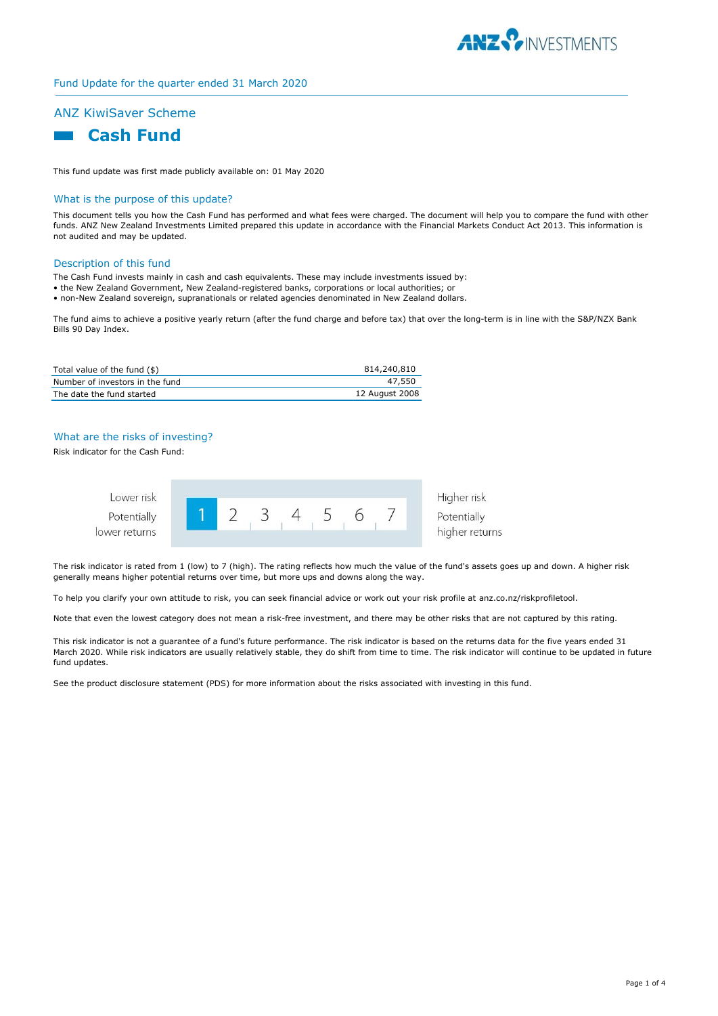

# Fund Update for the quarter ended 31 March 2020

# ANZ KiwiSaver Scheme



This fund update was first made publicly available on: 01 May 2020

#### What is the purpose of this update?

This document tells you how the Cash Fund has performed and what fees were charged. The document will help you to compare the fund with other funds. ANZ New Zealand Investments Limited prepared this update in accordance with the Financial Markets Conduct Act 2013. This information is not audited and may be updated.

#### Description of this fund

The Cash Fund invests mainly in cash and cash equivalents. These may include investments issued by:

- the New Zealand Government, New Zealand-registered banks, corporations or local authorities; or
- non-New Zealand sovereign, supranationals or related agencies denominated in New Zealand dollars.

The fund aims to achieve a positive yearly return (after the fund charge and before tax) that over the long-term is in line with the S&P/NZX Bank Bills 90 Day Index.

| Total value of the fund (\$)    | 814,240,810    |
|---------------------------------|----------------|
| Number of investors in the fund | 47,550         |
| The date the fund started       | 12 August 2008 |

## What are the risks of investing?

Risk indicator for the Cash Fund:



The risk indicator is rated from 1 (low) to 7 (high). The rating reflects how much the value of the fund's assets goes up and down. A higher risk generally means higher potential returns over time, but more ups and downs along the way.

To help you clarify your own attitude to risk, you can seek financial advice or work out your risk profile at anz.co.nz/riskprofiletool.

Note that even the lowest category does not mean a risk-free investment, and there may be other risks that are not captured by this rating.

This risk indicator is not a guarantee of a fund's future performance. The risk indicator is based on the returns data for the five years ended 31 March 2020. While risk indicators are usually relatively stable, they do shift from time to time. The risk indicator will continue to be updated in future fund updates.

See the product disclosure statement (PDS) for more information about the risks associated with investing in this fund.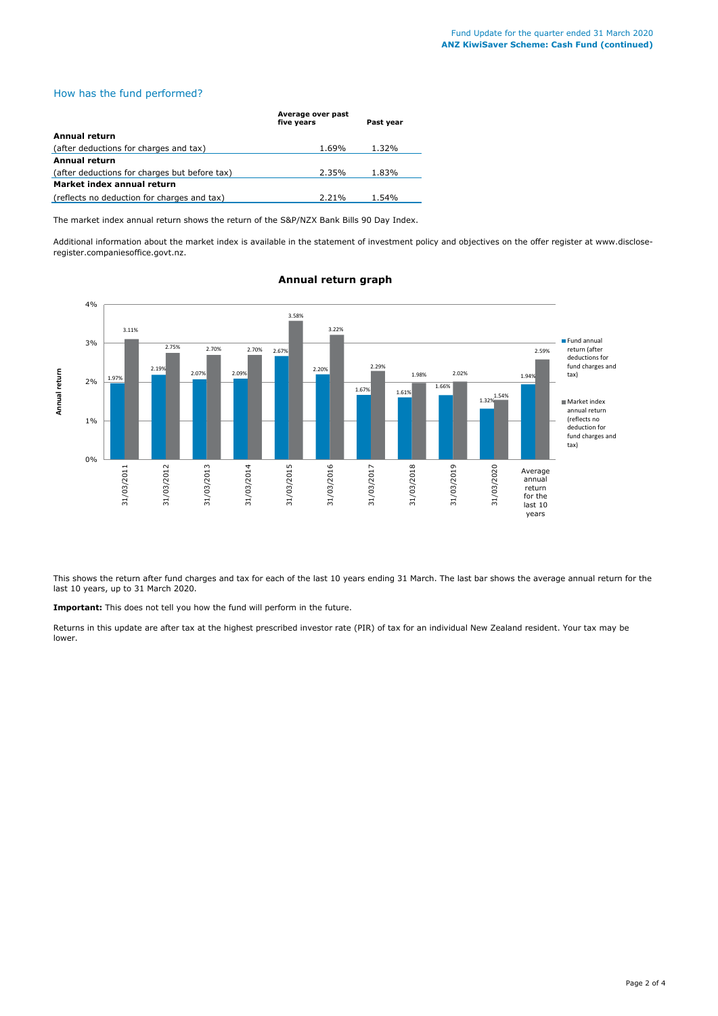## How has the fund performed?

|                                               | Average over past<br>five years<br>Past year |       |  |
|-----------------------------------------------|----------------------------------------------|-------|--|
| Annual return                                 |                                              |       |  |
|                                               |                                              |       |  |
| (after deductions for charges and tax)        | 1.69%                                        | 1.32% |  |
| Annual return                                 |                                              |       |  |
| (after deductions for charges but before tax) | 2.35%                                        | 1.83% |  |
| Market index annual return                    |                                              |       |  |
| (reflects no deduction for charges and tax)   | 2.21%                                        | 1.54% |  |

The market index annual return shows the return of the S&P/NZX Bank Bills 90 Day Index.

Additional information about the market index is available in the statement of investment policy and objectives on the offer register at www.discloseregister.companiesoffice.govt.nz.



# **Annual return graph**

This shows the return after fund charges and tax for each of the last 10 years ending 31 March. The last bar shows the average annual return for the last 10 years, up to 31 March 2020.

**Important:** This does not tell you how the fund will perform in the future.

Returns in this update are after tax at the highest prescribed investor rate (PIR) of tax for an individual New Zealand resident. Your tax may be lower.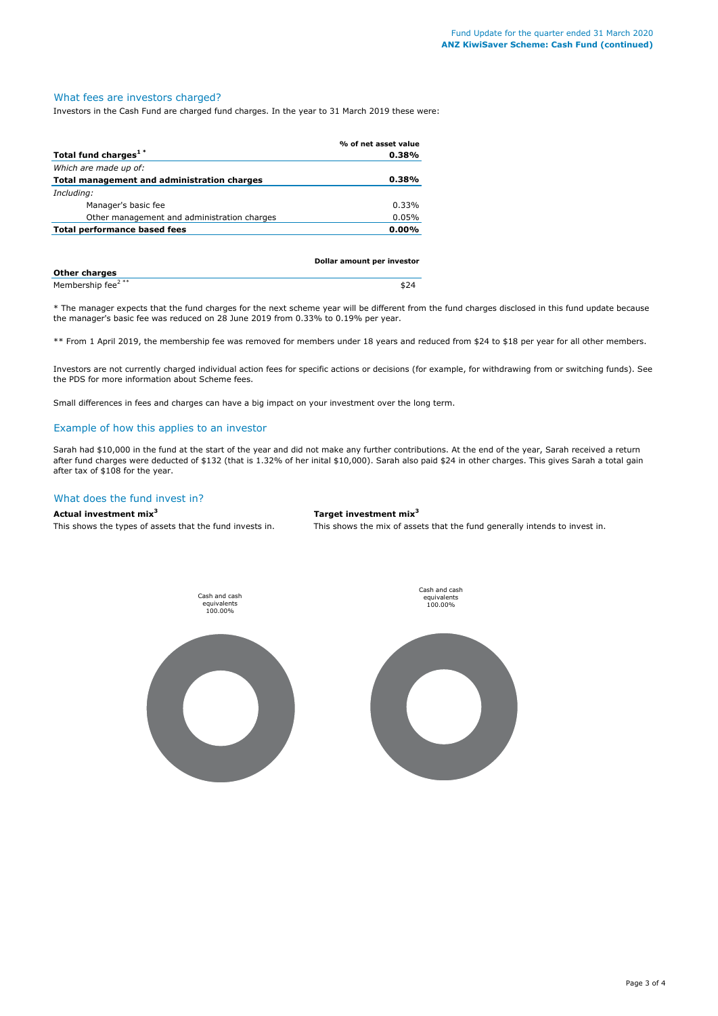## What fees are investors charged?

Investors in the Cash Fund are charged fund charges. In the year to 31 March 2019 these were:

|                                             | % of net asset value |
|---------------------------------------------|----------------------|
| Total fund charges <sup>1*</sup>            | 0.38%                |
| Which are made up of:                       |                      |
| Total management and administration charges | 0.38%                |
| Including:                                  |                      |
| Manager's basic fee                         | 0.33%                |
| Other management and administration charges | 0.05%                |
| Total performance based fees                | $0.00\%$             |
|                                             |                      |

|                               | Dollar amount per investor |
|-------------------------------|----------------------------|
| <b>Other charges</b>          |                            |
| Membership fee <sup>2**</sup> | \$24                       |

\* The manager expects that the fund charges for the next scheme year will be different from the fund charges disclosed in this fund update because the manager's basic fee was reduced on 28 June 2019 from 0.33% to 0.19% per year.

\*\* From 1 April 2019, the membership fee was removed for members under 18 years and reduced from \$24 to \$18 per year for all other members.

Investors are not currently charged individual action fees for specific actions or decisions (for example, for withdrawing from or switching funds). See the PDS for more information about Scheme fees.

Small differences in fees and charges can have a big impact on your investment over the long term.

## Example of how this applies to an investor

Sarah had \$10,000 in the fund at the start of the year and did not make any further contributions. At the end of the year, Sarah received a return after fund charges were deducted of \$132 (that is 1.32% of her inital \$10,000). Sarah also paid \$24 in other charges. This gives Sarah a total gain after tax of \$108 for the year.

#### What does the fund invest in?

**Actual investment mix<sup>3</sup> Target investment mix<sup>3</sup>**

This shows the types of assets that the fund invests in. This shows the mix of assets that the fund generally intends to invest in.